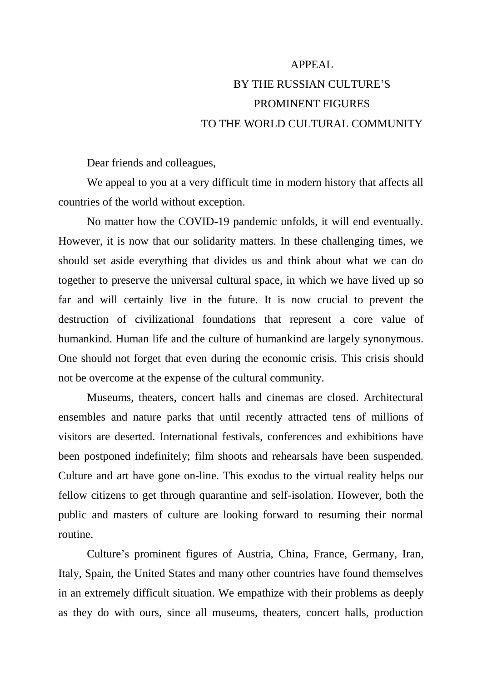## APPEAL BY THE RUSSIAN CULTURE'S PROMINENT FIGURES TO THE WORLD CULTURAL COMMUNITY

Dear friends and colleagues,

We appeal to you at a very difficult time in modern history that affects all countries of the world without exception.

No matter how the COVID-19 pandemic unfolds, it will end eventually. However, it is now that our solidarity matters. In these challenging times, we should set aside everything that divides us and think about what we can do together to preserve the universal cultural space, in which we have lived up so far and will certainly live in the future. It is now crucial to prevent the destruction of civilizational foundations that represent a core value of humankind. Human life and the culture of humankind are largely synonymous. One should not forget that even during the economic crisis. This crisis should not be overcome at the expense of the cultural community.

Museums, theaters, concert halls and cinemas are closed. Architectural ensembles and nature parks that until recently attracted tens of millions of visitors are deserted. International festivals, conferences and exhibitions have been postponed indefinitely; film shoots and rehearsals have been suspended. Culture and art have gone on-line. This exodus to the virtual reality helps our fellow citizens to get through quarantine and self-isolation. However, both the public and masters of culture are looking forward to resuming their normal routine.

Culture's prominent figures of Austria, China, France, Germany, Iran, Italy, Spain, the United States and many other countries have found themselves in an extremely difficult situation. We empathize with their problems as deeply as they do with ours, since all museums, theaters, concert halls, production